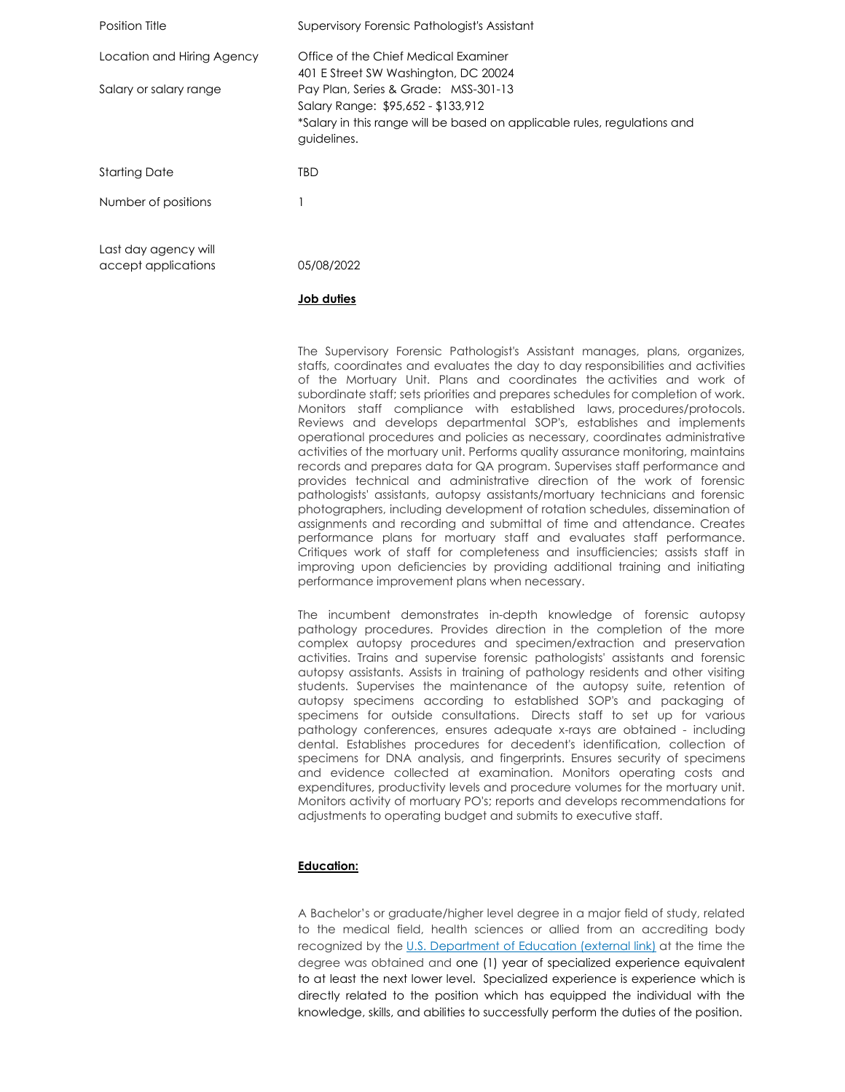| Position Title                              | Supervisory Forensic Pathologist's Assistant                                                                                                                          |
|---------------------------------------------|-----------------------------------------------------------------------------------------------------------------------------------------------------------------------|
| Location and Hiring Agency                  | Office of the Chief Medical Examiner<br>401 E Street SW Washington, DC 20024                                                                                          |
| Salary or salary range                      | Pay Plan, Series & Grade: MSS-301-13<br>Salary Range: \$95,652 - \$133,912<br>*Salary in this range will be based on applicable rules, regulations and<br>guidelines. |
| <b>Starting Date</b>                        | TBD                                                                                                                                                                   |
| Number of positions                         |                                                                                                                                                                       |
| Last day agency will<br>accept applications | 05/08/2022                                                                                                                                                            |

# **Job duties**

The Supervisory Forensic Pathologist's Assistant manages, plans, organizes, staffs, coordinates and evaluates the day to day responsibilities and activities of the Mortuary Unit. Plans and coordinates the activities and work of subordinate staff; sets priorities and prepares schedules for completion of work. Monitors staff compliance with established laws, procedures/protocols. Reviews and develops departmental SOP's, establishes and implements operational procedures and policies as necessary, coordinates administrative activities of the mortuary unit. Performs quality assurance monitoring, maintains records and prepares data for QA program. Supervises staff performance and provides technical and administrative direction of the work of forensic pathologists' assistants, autopsy assistants/mortuary technicians and forensic photographers, including development of rotation schedules, dissemination of assignments and recording and submittal of time and attendance. Creates performance plans for mortuary staff and evaluates staff performance. Critiques work of staff for completeness and insufficiencies; assists staff in improving upon deficiencies by providing additional training and initiating performance improvement plans when necessary.

The incumbent demonstrates in-depth knowledge of forensic autopsy pathology procedures. Provides direction in the completion of the more complex autopsy procedures and specimen/extraction and preservation activities. Trains and supervise forensic pathologists' assistants and forensic autopsy assistants. Assists in training of pathology residents and other visiting students. Supervises the maintenance of the autopsy suite, retention of autopsy specimens according to established SOP's and packaging of specimens for outside consultations. Directs staff to set up for various pathology conferences, ensures adequate x-rays are obtained - including dental. Establishes procedures for decedent's identification, collection of specimens for DNA analysis, and fingerprints. Ensures security of specimens and evidence collected at examination. Monitors operating costs and expenditures, productivity levels and procedure volumes for the mortuary unit. Monitors activity of mortuary PO's; reports and develops recommendations for adjustments to operating budget and submits to executive staff.

# **Education:**

A Bachelor's or graduate/higher level degree in a major field of study, related to the medical field, health sciences or allied from an accrediting body recognized by the [U.S. Department of Education](https://www.opm.gov/leaving/index.aspx?link=http://ope.ed.gov/accreditation/) (external link) at the time the degree was obtained and one (1) year of specialized experience equivalent to at least the next lower level. Specialized experience is experience which is directly related to the position which has equipped the individual with the knowledge, skills, and abilities to successfully perform the duties of the position.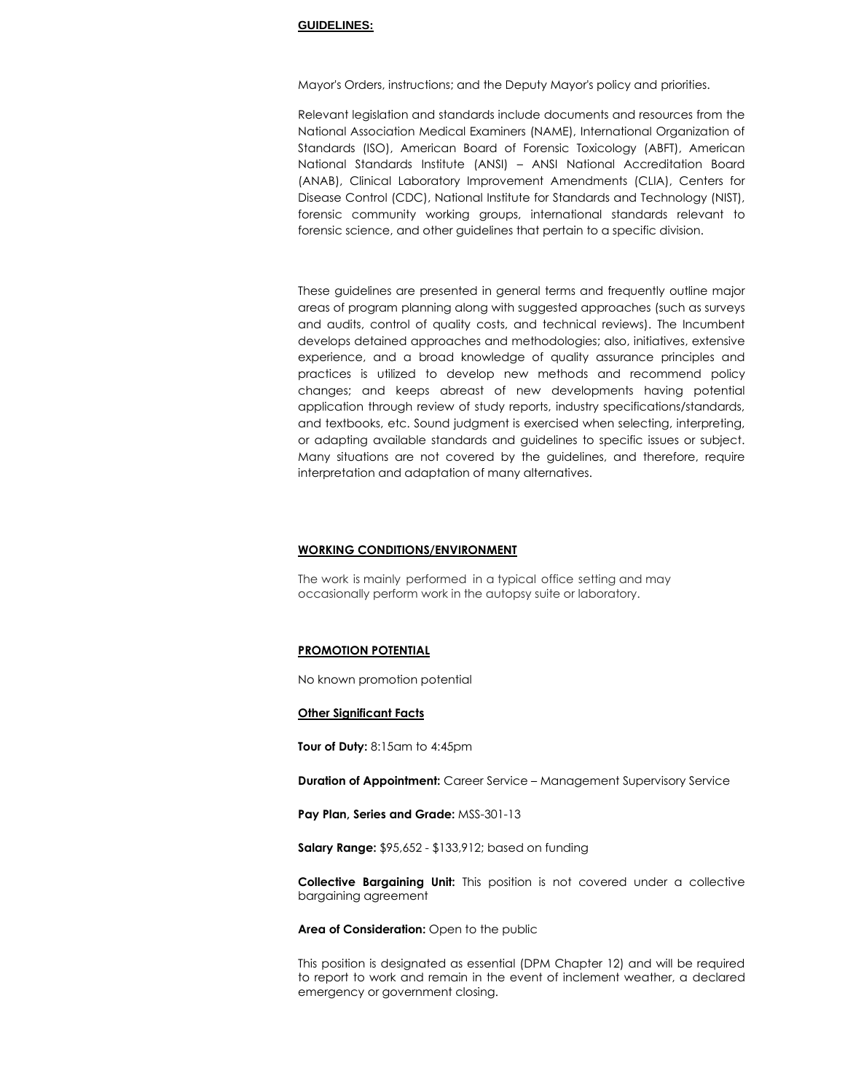### **GUIDELINES:**

Mayor's Orders, instructions; and the Deputy Mayor's policy and priorities.

Relevant legislation and standards include documents and resources from the National Association Medical Examiners (NAME), International Organization of Standards (ISO), American Board of Forensic Toxicology (ABFT), American National Standards Institute (ANSI) – ANSI National Accreditation Board (ANAB), Clinical Laboratory Improvement Amendments (CLIA), Centers for Disease Control (CDC), National Institute for Standards and Technology (NIST), forensic community working groups, international standards relevant to forensic science, and other guidelines that pertain to a specific division.

These guidelines are presented in general terms and frequently outline major areas of program planning along with suggested approaches (such as surveys and audits, control of quality costs, and technical reviews). The Incumbent develops detained approaches and methodologies; also, initiatives, extensive experience, and a broad knowledge of quality assurance principles and practices is utilized to develop new methods and recommend policy changes; and keeps abreast of new developments having potential application through review of study reports, industry specifications/standards, and textbooks, etc. Sound judgment is exercised when selecting, interpreting, or adapting available standards and guidelines to specific issues or subject. Many situations are not covered by the guidelines, and therefore, require interpretation and adaptation of many alternatives.

#### **WORKING CONDITIONS/ENVIRONMENT**

The work is mainly performed in a typical office setting and may occasionally perform work in the autopsy suite or laboratory.

## **PROMOTION POTENTIAL**

No known promotion potential

# **Other Significant Facts**

**Tour of Duty:** 8:15am to 4:45pm

**Duration of Appointment:** Career Service – Management Supervisory Service

**Pay Plan, Series and Grade:** MSS-301-13

**Salary Range:** \$95,652 - \$133,912; based on funding

**Collective Bargaining Unit:** This position is not covered under a collective bargaining agreement

**Area of Consideration:** Open to the public

This position is designated as essential (DPM Chapter 12) and will be required to report to work and remain in the event of inclement weather, a declared emergency or government closing.